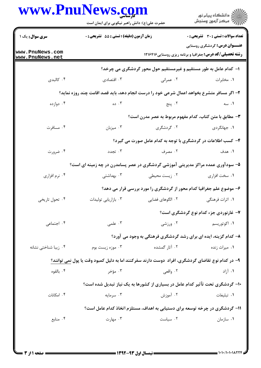|                                    | حضرت علی(ع): دانش راهبر نیکویی برای ایمان است                                                     |                  | ر دانشڪاه پيام نور<br>ا∛ مرڪز آزمون وسنڊش                                                                |  |
|------------------------------------|---------------------------------------------------------------------------------------------------|------------------|----------------------------------------------------------------------------------------------------------|--|
| <b>سری سوال :</b> یک ۱             | زمان آزمون (دقیقه) : تستی : 55 آتشریحی : 0                                                        |                  | <b>تعداد سوالات : تستی : 30 ٪ تشریحی : 0</b>                                                             |  |
| www.PnuNews.com<br>www.PnuNews.net |                                                                                                   |                  | <b>عنـــوان درس:</b> گردشگری روستایی<br><b>رشته تحصیلی/کد درس:</b> جغرافیا و برنامه ریزی روستایی ۱۲۱۶۴۱۶ |  |
|                                    |                                                                                                   |                  | ۱– کدام عامل به طور مستقیم و غیرمستقیم حول محور گردشگری می چرخد؟                                         |  |
| ۰۴ کالېدی                          | ۰۳ اقتصادی                                                                                        | ۰۲ عمرانی        | ۰۱ مخابرات                                                                                               |  |
|                                    | ۲- اگر مسافر متشرع بخواهد اعمال شرعی خود را درست انجام دهد، باید قصد اقامت چند روزه نماید؟        |                  |                                                                                                          |  |
| ۰۴ دوازده                          | ۰۳ ده                                                                                             | ۰۲ پنج           | ۰۱ سه                                                                                                    |  |
|                                    |                                                                                                   |                  | ۳- مطابق با متن کتاب، کدام مفهوم مربوط به عصر مدرن است؟                                                  |  |
| ۰۴ مسافرت                          | ۰۳ میزبان                                                                                         | ۰۲ گردشگری       | ۰۱ جهانگردی                                                                                              |  |
|                                    |                                                                                                   |                  | ۴- کسب اطلاعات در گردشگری با توجه به کدام عامل صورت می گیرد؟                                             |  |
| ۰۴ ضرورت                           | ۰۳ تجدد                                                                                           | ۰۲ مصرف          | ١. هدف                                                                                                   |  |
|                                    | ۵– سودآوری عمده مراکز مدیریتی آموزشی گردشگری در عصر پسامدرن در چه زمینه ای است؟                   |                  |                                                                                                          |  |
| ۰۴ نرم افزاري                      | ۰۳ بهداشتی                                                                                        | ۰۲ زیست محیطی    | ۰۱ سخت افزاری                                                                                            |  |
|                                    |                                                                                                   |                  | ۶- موضوع علم جغرافیا کدام محور از گردشگری را مورد بررسی قرار می دهد؟                                     |  |
| ۰۴ تحول تاریخی                     | ۰۳ بازاریابی تولیدات                                                                              | ٢. الگوهای فضایی | ۱. اثرات فرهنگی                                                                                          |  |
|                                    |                                                                                                   |                  | ۷- غارنوردی جزء کدام نوع گردشگری است؟                                                                    |  |
| ۰۴ اجتماعی                         | .۳ علمی                                                                                           | ۰۲ ورزشی         | ۰۱ اکوتوریسم                                                                                             |  |
|                                    |                                                                                                   |                  | ۸– کدام گزینه، ایده ای برای رشد گردشگری فرهنگی به وجود می آورد؟                                          |  |
| ۰۴ زیبا شناختی نشانه               | ۰۳ موزه زیست بوم                                                                                  | ۰۲ آثار گمشده    | ۰۱ میراث زنده                                                                                            |  |
|                                    | ۹- در کدام نوع تقاضای گردشگری، افراد  دوست دارند سفرکنند اما به دلیل کمبود وقت یا پول نمی توانند؟ |                  |                                                                                                          |  |
| ۰۴ بالقوه                          | ۰۳ مؤخر                                                                                           | ۰۲ واقعی         | ۰۱ آزاد                                                                                                  |  |
|                                    |                                                                                                   |                  | ۱۰- گردشگری تحت تآثیر کدام عامل در بسیاری از کشورها به یک نیاز تبدیل شده است؟                            |  |
| ۰۴ امکانات                         | ۰۳ سرمایه                                                                                         | ۰۲ آموزش         | ۰۱ تبلیغات                                                                                               |  |
|                                    |                                                                                                   |                  | ۱۱- گردشگری در چرخه توسعه برای دستیابی به اهداف، مستلزم اتخاذ کدام عامل است؟                             |  |
| ۰۴ منابع                           | ۰۳ مهارت                                                                                          | ۰۲ سیاست         | ۰۱ سازمان                                                                                                |  |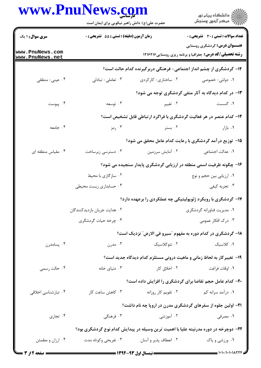|                                    | <b>www.PnuNews.co</b><br>حضرت علی(ع): دانش راهبر نیکویی برای ایمان است |                       | ڪ دانشڪاه پيام نور<br>ر∕ آرمون وسنڊش                                                                     |  |  |
|------------------------------------|------------------------------------------------------------------------|-----------------------|----------------------------------------------------------------------------------------------------------|--|--|
| <b>سری سوال : ۱ یک</b>             | زمان آزمون (دقیقه) : تستی : 55 آتشریحی : 0                             |                       | <b>تعداد سوالات : تستی : 30 ٪ تشریحی : 0</b>                                                             |  |  |
| www.PnuNews.com<br>www.PnuNews.net |                                                                        |                       | <b>عنـــوان درس:</b> گردشگری روستایی<br><b>رشته تحصیلی/کد درس:</b> جغرافیا و برنامه ریزی روستایی ۱۲۱۶۴۱۶ |  |  |
|                                    |                                                                        |                       | ۱۲- گردشگری از چشم انداز اجتماعی- فرهنگی دربرگیرنده کدام حالت است؟                                       |  |  |
| ۰۴ عینی- منطقی                     | ۰۳ تعاملی- تبادلی                                                      | ۰۲ ساختاری- کارکردی   | ۱. دولتی-خصوصی                                                                                           |  |  |
|                                    |                                                                        |                       | ۱۳- در کدام دیدگاه به آثار منفی گردشگری توجه می شود؟                                                     |  |  |
| ۰۴ پیوست                           | ۰۳ توسعه                                                               | ۰۲ تغییر              | ۰۱ گسست                                                                                                  |  |  |
|                                    |                                                                        |                       | ۱۴- کدام عنصر در هر فعالیت گردشگری با فراگرد ارتباطی قابل تشخیص است؟                                     |  |  |
| ۰۴ جامعه                           | ۰۳ رمز                                                                 | ۰۲ بستر               | ۰۱ بازار                                                                                                 |  |  |
|                                    | 15– توزیع در آمد گردشگری با رعایت کدام عامل محقق می شود؟               |                       |                                                                                                          |  |  |
| ۰۴ مقیاس منطقه ای                  | ۰۳ دسترسی زیرساخت                                                      | ۰۲ آمایش سرزمین       | ٠١. عدالت اجتماعي                                                                                        |  |  |
|                                    |                                                                        |                       | ۱۶- چگونه ظرفیت اسمی منطقه در ارزیابی گردشگری پایدار سنجیده می شود؟                                      |  |  |
|                                    | ۰۲ سازگازی با محیط                                                     |                       | ۰۱ ارزیابی بین حجم و نوع                                                                                 |  |  |
|                                    | ۰۴ حسابداری زیست محیطی                                                 |                       | ۰۳ تجربه کیفی                                                                                            |  |  |
|                                    |                                                                        |                       | ۱۷- گردشگری با رویکرد ژئوپولیتیکی چه عملکردی را برعهده دارد؟                                             |  |  |
|                                    | ۰۲ هدایت جریان بازدیدکنندگان                                           |                       | ۰۱ مدیریت فناورانه گردشگری                                                                               |  |  |
|                                    | ۰۴ چرخه حیات گردشگری                                                   |                       | ۰۳ درک افکار عمومی                                                                                       |  |  |
|                                    |                                                                        |                       | ۱۸- گردشگری در کدام دوره به مفهوم "سیرو فی الارض" نزدیک است؟                                             |  |  |
| ۰۴ پسامدرن                         | ۰۳ مدرن                                                                | ۰۲ نئوکلاسیک          | ٠١ كلاسيك                                                                                                |  |  |
|                                    |                                                                        |                       | ۱۹- تغییرکار به لحاظ زمانی و ماهیت درونی مستلزم کدام دیدگاه جدید است؟                                    |  |  |
| ۰۴ حالت رسمي                       | ۰۳ دنیای خانه                                                          | ۰۲ اخلاق کار          | ٠١. اوقات فراغت                                                                                          |  |  |
|                                    |                                                                        |                       | <b>۲۰</b> - کدام عامل حجم تقاضا برای گردشگری را افزایش داده است؟                                         |  |  |
| ۰۴ تبارشناسی اخلاقی                | ۰۳ کاهش ساعت کار                                                       | ٠٢ تقويم كار روزانه   | ۰۱ درآمد سرانه کم                                                                                        |  |  |
|                                    |                                                                        |                       | <b>۲۱</b> - اولین جلوه از سفرهای گردشگری مدرن در اروپا چه نام داشت؟                                      |  |  |
| ۰۴ تجاري                           | ۰۳ فرهنگی                                                              | ۰۲ آموزشی             | ۰۱ مصرفی                                                                                                 |  |  |
|                                    |                                                                        |                       | ۲۲– دوچرخه در دوره مدرنیته علیا با اهمیت ترین وسیله در پیدایش کدام نوع گردشگری بود؟                      |  |  |
| ۰۴ ارزان و مطمئن                   | ۰۳ تفریحی وکوتاه مدت                                                   | ۰۲ انعطاف پذیر و آسان | ۰۱ ورزشي و پاک                                                                                           |  |  |

1.1./1.1.1821